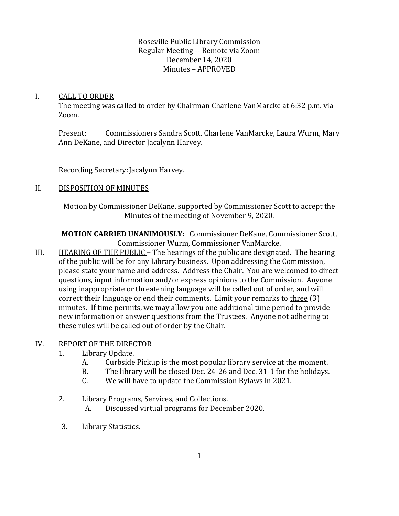### I. CALL TO ORDER

The meeting was called to order by Chairman Charlene VanMarcke at 6:32 p.m. via Zoom.

Present: Commissioners Sandra Scott, Charlene VanMarcke, Laura Wurm, Mary Ann DeKane, and Director Jacalynn Harvey.

Recording Secretary: Jacalynn Harvey.

# II. DISPOSITION OF MINUTES

Motion by Commissioner DeKane, supported by Commissioner Scott to accept the Minutes of the meeting of November 9, 2020.

**MOTION CARRIED UNANIMOUSLY:** Commissioner DeKane, Commissioner Scott, Commissioner Wurm, Commissioner VanMarcke.

III. HEARING OF THE PUBLIC – The hearings of the public are designated. The hearing of the public will be for any Library business. Upon addressing the Commission, please state your name and address. Address the Chair. You are welcomed to direct questions, input information and/or express opinions to the Commission. Anyone using inappropriate or threatening language will be called out of order, and will correct their language or end their comments. Limit your remarks to three (3) minutes. If time permits, we may allow you one additional time period to provide new information or answer questions from the Trustees. Anyone not adhering to these rules will be called out of order by the Chair.

## IV. REPORT OF THE DIRECTOR

- 1. Library Update.
	- A. Curbside Pickup is the most popular library service at the moment.
	- B. The library will be closed Dec. 24-26 and Dec. 31-1 for the holidays.
	- C. We will have to update the Commission Bylaws in 2021.
- 2. Library Programs, Services, and Collections.
	- A. Discussed virtual programs for December 2020.
- 3. Library Statistics.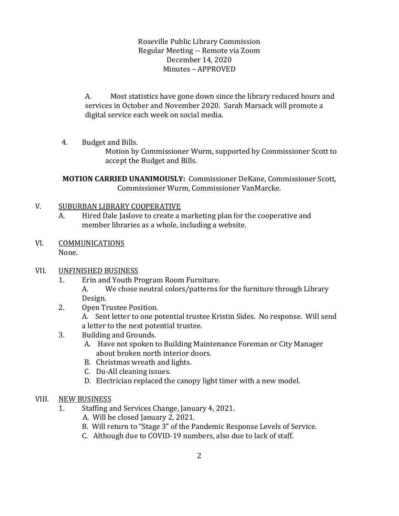A. Most statistics have gone down since the library reduced hours and services in October and November 2020. Sarah Marsack will promote a digital service each week on social media.

4. Budget and Bills.

Motion by Commissioner Wurm, supported by Commissioner Scott to accept the Budget and Bills.

**MOTION CARRIED UNANIMOUSLY:** Commissioner DeKane, Commissioner Scott, Commissioner Wurm, Commissioner VanMarcke.

#### V. SUBURBAN LIBRARY COOPERATIVE

- A. Hired Dale Jaslove to create a marketing plan for the cooperative and member libraries as a whole, including a website.
- VI. COMMUNICATIONS None.

#### VII. UNFINISHED BUSINESS

- 1. Erin and Youth Program Room Furniture.
	- A. We chose neutral colors/patterns for the furniture through Library Design.
- 2. Open Trustee Position.

A. Sent letter to one potential trustee Kristin Sides. No response. Will send a letter to the next potential trustee.

- 3. Building and Grounds.
	- A. Have not spoken to Building Maintenance Foreman or City Manager about broken north interior doors.
	- B. Christmas wreath and lights.
	- C. Du-All cleaning issues.
	- D. Electrician replaced the canopy light timer with a new model.

#### VIII. NEW BUSINESS

- 1. Staffing and Services Change, January 4, 2021.
	- A. Will be closed January 2, 2021.
	- B. Will return to "Stage 3" of the Pandemic Response Levels of Service.
	- C. Although due to COVID-19 numbers, also due to lack of staff.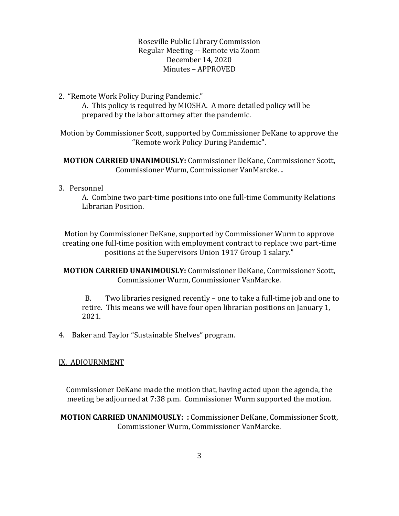2. "Remote Work Policy During Pandemic."

A. This policy is required by MIOSHA. A more detailed policy will be prepared by the labor attorney after the pandemic.

Motion by Commissioner Scott, supported by Commissioner DeKane to approve the "Remote work Policy During Pandemic".

**MOTION CARRIED UNANIMOUSLY:** Commissioner DeKane, Commissioner Scott, Commissioner Wurm, Commissioner VanMarcke. **.**

#### 3. Personnel

A. Combine two part-time positions into one full-time Community Relations Librarian Position.

Motion by Commissioner DeKane, supported by Commissioner Wurm to approve creating one full-time position with employment contract to replace two part-time positions at the Supervisors Union 1917 Group 1 salary."

**MOTION CARRIED UNANIMOUSLY:** Commissioner DeKane, Commissioner Scott, Commissioner Wurm, Commissioner VanMarcke.

B. Two libraries resigned recently – one to take a full-time job and one to retire. This means we will have four open librarian positions on January 1, 2021.

4. Baker and Taylor "Sustainable Shelves" program.

#### IX. ADJOURNMENT

Commissioner DeKane made the motion that, having acted upon the agenda, the meeting be adjourned at 7:38 p.m. Commissioner Wurm supported the motion.

**MOTION CARRIED UNANIMOUSLY: :** Commissioner DeKane, Commissioner Scott, Commissioner Wurm, Commissioner VanMarcke.